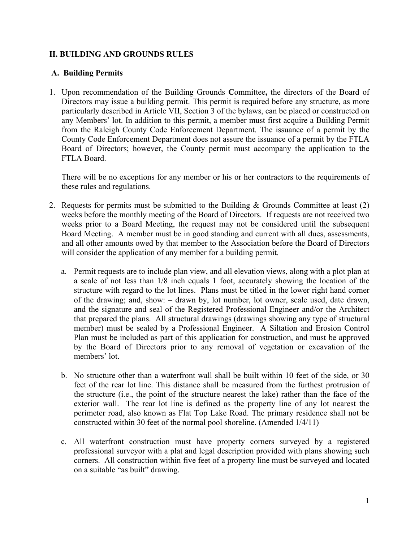## **II. BUILDING AND GROUNDS RULES**

## **A. Building Permits**

1. Upon recommendation of the Building Grounds **C**ommittee**,** the directors of the Board of Directors may issue a building permit. This permit is required before any structure, as more particularly described in Article VII, Section 3 of the bylaws, can be placed or constructed on any Members' lot. In addition to this permit, a member must first acquire a Building Permit from the Raleigh County Code Enforcement Department. The issuance of a permit by the County Code Enforcement Department does not assure the issuance of a permit by the FTLA Board of Directors; however, the County permit must accompany the application to the FTLA Board.

There will be no exceptions for any member or his or her contractors to the requirements of these rules and regulations.

- 2. Requests for permits must be submitted to the Building & Grounds Committee at least (2) weeks before the monthly meeting of the Board of Directors. If requests are not received two weeks prior to a Board Meeting, the request may not be considered until the subsequent Board Meeting. A member must be in good standing and current with all dues, assessments, and all other amounts owed by that member to the Association before the Board of Directors will consider the application of any member for a building permit.
	- a. Permit requests are to include plan view, and all elevation views, along with a plot plan at a scale of not less than 1/8 inch equals 1 foot, accurately showing the location of the structure with regard to the lot lines. Plans must be titled in the lower right hand corner of the drawing; and, show: – drawn by, lot number, lot owner, scale used, date drawn, and the signature and seal of the Registered Professional Engineer and/or the Architect that prepared the plans. All structural drawings (drawings showing any type of structural member) must be sealed by a Professional Engineer. A Siltation and Erosion Control Plan must be included as part of this application for construction, and must be approved by the Board of Directors prior to any removal of vegetation or excavation of the members' lot.
	- b. No structure other than a waterfront wall shall be built within 10 feet of the side, or 30 feet of the rear lot line. This distance shall be measured from the furthest protrusion of the structure (i.e., the point of the structure nearest the lake) rather than the face of the exterior wall. The rear lot line is defined as the property line of any lot nearest the perimeter road, also known as Flat Top Lake Road. The primary residence shall not be constructed within 30 feet of the normal pool shoreline. (Amended 1/4/11)
	- c. All waterfront construction must have property corners surveyed by a registered professional surveyor with a plat and legal description provided with plans showing such corners. All construction within five feet of a property line must be surveyed and located on a suitable "as built" drawing.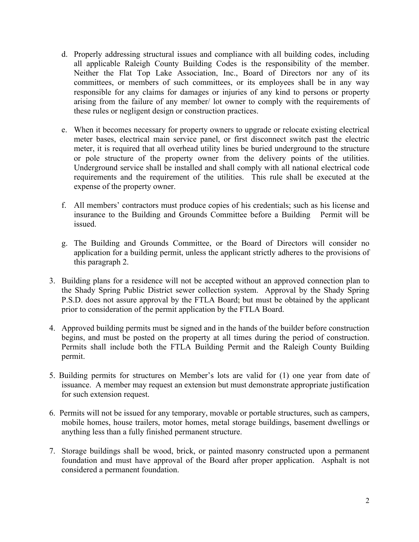- d. Properly addressing structural issues and compliance with all building codes, including all applicable Raleigh County Building Codes is the responsibility of the member. Neither the Flat Top Lake Association, Inc., Board of Directors nor any of its committees, or members of such committees, or its employees shall be in any way responsible for any claims for damages or injuries of any kind to persons or property arising from the failure of any member/ lot owner to comply with the requirements of these rules or negligent design or construction practices.
- e. When it becomes necessary for property owners to upgrade or relocate existing electrical meter bases, electrical main service panel, or first disconnect switch past the electric meter, it is required that all overhead utility lines be buried underground to the structure or pole structure of the property owner from the delivery points of the utilities. Underground service shall be installed and shall comply with all national electrical code requirements and the requirement of the utilities. This rule shall be executed at the expense of the property owner.
- f. All members' contractors must produce copies of his credentials; such as his license and insurance to the Building and Grounds Committee before a Building Permit will be issued.
- g. The Building and Grounds Committee, or the Board of Directors will consider no application for a building permit, unless the applicant strictly adheres to the provisions of this paragraph 2.
- 3. Building plans for a residence will not be accepted without an approved connection plan to the Shady Spring Public District sewer collection system. Approval by the Shady Spring P.S.D. does not assure approval by the FTLA Board; but must be obtained by the applicant prior to consideration of the permit application by the FTLA Board.
- 4. Approved building permits must be signed and in the hands of the builder before construction begins, and must be posted on the property at all times during the period of construction. Permits shall include both the FTLA Building Permit and the Raleigh County Building permit.
- 5. Building permits for structures on Member's lots are valid for (1) one year from date of issuance. A member may request an extension but must demonstrate appropriate justification for such extension request.
- 6. Permits will not be issued for any temporary, movable or portable structures, such as campers, mobile homes, house trailers, motor homes, metal storage buildings, basement dwellings or anything less than a fully finished permanent structure.
- 7. Storage buildings shall be wood, brick, or painted masonry constructed upon a permanent foundation and must have approval of the Board after proper application. Asphalt is not considered a permanent foundation.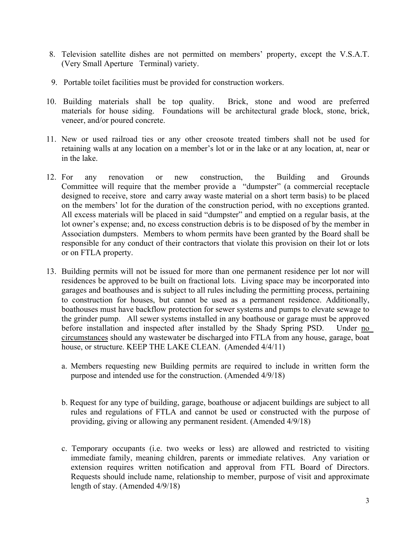- 8. Television satellite dishes are not permitted on members' property, except the V.S.A.T. (Very Small Aperture Terminal) variety.
- 9. Portable toilet facilities must be provided for construction workers.
- 10. Building materials shall be top quality. Brick, stone and wood are preferred materials for house siding. Foundations will be architectural grade block, stone, brick, veneer, and/or poured concrete.
- 11. New or used railroad ties or any other creosote treated timbers shall not be used for retaining walls at any location on a member's lot or in the lake or at any location, at, near or in the lake.
- 12. For any renovation or new construction, the Building and Grounds Committee will require that the member provide a "dumpster" (a commercial receptacle designed to receive, store and carry away waste material on a short term basis) to be placed on the members' lot for the duration of the construction period, with no exceptions granted. All excess materials will be placed in said "dumpster" and emptied on a regular basis, at the lot owner's expense; and, no excess construction debris is to be disposed of by the member in Association dumpsters. Members to whom permits have been granted by the Board shall be responsible for any conduct of their contractors that violate this provision on their lot or lots or on FTLA property.
- 13. Building permits will not be issued for more than one permanent residence per lot nor will residences be approved to be built on fractional lots. Living space may be incorporated into garages and boathouses and is subject to all rules including the permitting process, pertaining to construction for houses, but cannot be used as a permanent residence. Additionally, boathouses must have backflow protection for sewer systems and pumps to elevate sewage to the grinder pump. All sewer systems installed in any boathouse or garage must be approved before installation and inspected after installed by the Shady Spring PSD. Under no circumstances should any wastewater be discharged into FTLA from any house, garage, boat house, or structure. KEEP THE LAKE CLEAN. (Amended  $4/4/11$ )
	- a. Members requesting new Building permits are required to include in written form the purpose and intended use for the construction. (Amended 4/9/18)
	- b. Request for any type of building, garage, boathouse or adjacent buildings are subject to all rules and regulations of FTLA and cannot be used or constructed with the purpose of providing, giving or allowing any permanent resident. (Amended 4/9/18)
	- c. Temporary occupants (i.e. two weeks or less) are allowed and restricted to visiting immediate family, meaning children, parents or immediate relatives. Any variation or extension requires written notification and approval from FTL Board of Directors. Requests should include name, relationship to member, purpose of visit and approximate length of stay. (Amended 4/9/18)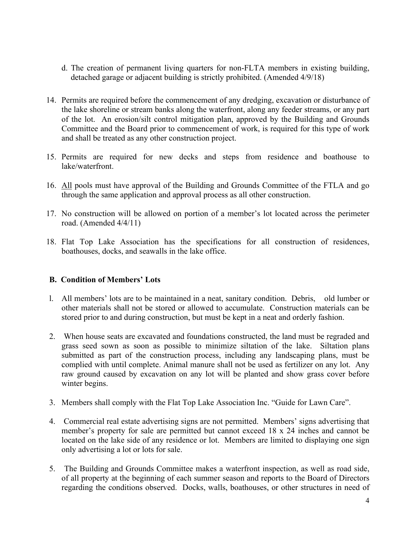- d. The creation of permanent living quarters for non-FLTA members in existing building, detached garage or adjacent building is strictly prohibited. (Amended 4/9/18)
- 14. Permits are required before the commencement of any dredging, excavation or disturbance of the lake shoreline or stream banks along the waterfront, along any feeder streams, or any part of the lot. An erosion/silt control mitigation plan, approved by the Building and Grounds Committee and the Board prior to commencement of work, is required for this type of work and shall be treated as any other construction project.
- 15. Permits are required for new decks and steps from residence and boathouse to lake/waterfront.
- 16. All pools must have approval of the Building and Grounds Committee of the FTLA and go through the same application and approval process as all other construction.
- 17. No construction will be allowed on portion of a member's lot located across the perimeter road. (Amended 4/4/11)
- 18. Flat Top Lake Association has the specifications for all construction of residences, boathouses, docks, and seawalls in the lake office.

## **B. Condition of Members' Lots**

- l. All members' lots are to be maintained in a neat, sanitary condition. Debris, old lumber or other materials shall not be stored or allowed to accumulate. Construction materials can be stored prior to and during construction, but must be kept in a neat and orderly fashion.
- 2. When house seats are excavated and foundations constructed, the land must be regraded and grass seed sown as soon as possible to minimize siltation of the lake. Siltation plans submitted as part of the construction process, including any landscaping plans, must be complied with until complete. Animal manure shall not be used as fertilizer on any lot. Any raw ground caused by excavation on any lot will be planted and show grass cover before winter begins.
- 3. Members shall comply with the Flat Top Lake Association Inc. "Guide for Lawn Care".
- 4. Commercial real estate advertising signs are not permitted. Members' signs advertising that member's property for sale are permitted but cannot exceed 18 x 24 inches and cannot be located on the lake side of any residence or lot. Members are limited to displaying one sign only advertising a lot or lots for sale.
- 5. The Building and Grounds Committee makes a waterfront inspection, as well as road side, of all property at the beginning of each summer season and reports to the Board of Directors regarding the conditions observed. Docks, walls, boathouses, or other structures in need of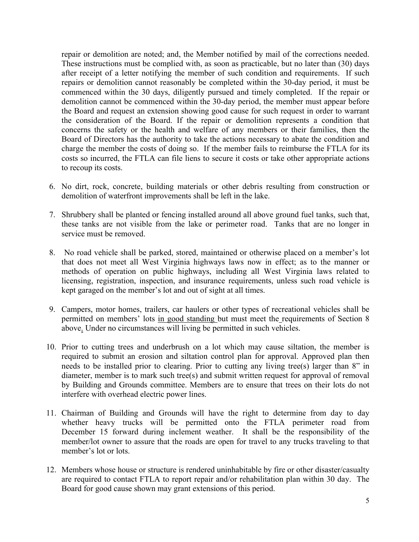repair or demolition are noted; and, the Member notified by mail of the corrections needed. These instructions must be complied with, as soon as practicable, but no later than (30) days after receipt of a letter notifying the member of such condition and requirements. If such repairs or demolition cannot reasonably be completed within the 30-day period, it must be commenced within the 30 days, diligently pursued and timely completed. If the repair or demolition cannot be commenced within the 30-day period, the member must appear before the Board and request an extension showing good cause for such request in order to warrant the consideration of the Board. If the repair or demolition represents a condition that concerns the safety or the health and welfare of any members or their families, then the Board of Directors has the authority to take the actions necessary to abate the condition and charge the member the costs of doing so. If the member fails to reimburse the FTLA for its costs so incurred, the FTLA can file liens to secure it costs or take other appropriate actions to recoup its costs.

- 6. No dirt, rock, concrete, building materials or other debris resulting from construction or demolition of waterfront improvements shall be left in the lake.
- 7. Shrubbery shall be planted or fencing installed around all above ground fuel tanks, such that, these tanks are not visible from the lake or perimeter road. Tanks that are no longer in service must be removed.
- 8. No road vehicle shall be parked, stored, maintained or otherwise placed on a member's lot that does not meet all West Virginia highways laws now in effect; as to the manner or methods of operation on public highways, including all West Virginia laws related to licensing, registration, inspection, and insurance requirements, unless such road vehicle is kept garaged on the member's lot and out of sight at all times.
- 9. Campers, motor homes, trailers, car haulers or other types of recreational vehicles shall be permitted on members' lots in good standing but must meet the requirements of Section 8 above. Under no circumstances will living be permitted in such vehicles.
- 10. Prior to cutting trees and underbrush on a lot which may cause siltation, the member is required to submit an erosion and siltation control plan for approval. Approved plan then needs to be installed prior to clearing. Prior to cutting any living tree(s) larger than 8" in diameter, member is to mark such tree(s) and submit written request for approval of removal by Building and Grounds committee. Members are to ensure that trees on their lots do not interfere with overhead electric power lines.
- 11. Chairman of Building and Grounds will have the right to determine from day to day whether heavy trucks will be permitted onto the FTLA perimeter road from December 15 forward during inclement weather. It shall be the responsibility of the member/lot owner to assure that the roads are open for travel to any trucks traveling to that member's lot or lots.
- 12. Members whose house or structure is rendered uninhabitable by fire or other disaster/casualty are required to contact FTLA to report repair and/or rehabilitation plan within 30 day. The Board for good cause shown may grant extensions of this period.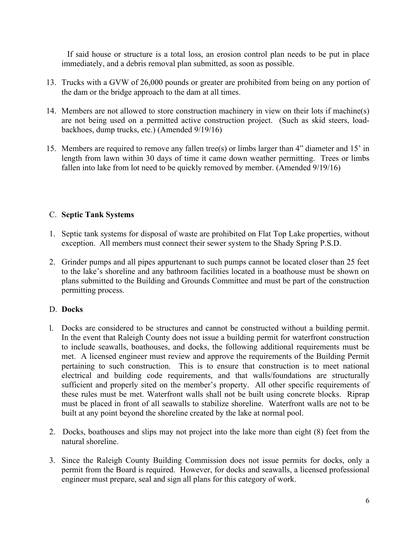If said house or structure is a total loss, an erosion control plan needs to be put in place immediately, and a debris removal plan submitted, as soon as possible.

- 13. Trucks with a GVW of 26,000 pounds or greater are prohibited from being on any portion of the dam or the bridge approach to the dam at all times.
- 14. Members are not allowed to store construction machinery in view on their lots if machine(s) are not being used on a permitted active construction project. (Such as skid steers, loadbackhoes, dump trucks, etc.) (Amended 9/19/16)
- 15. Members are required to remove any fallen tree(s) or limbs larger than 4" diameter and 15' in length from lawn within 30 days of time it came down weather permitting. Trees or limbs fallen into lake from lot need to be quickly removed by member. (Amended 9/19/16)

## C. **Septic Tank Systems**

- 1. Septic tank systems for disposal of waste are prohibited on Flat Top Lake properties, without exception. All members must connect their sewer system to the Shady Spring P.S.D.
- 2. Grinder pumps and all pipes appurtenant to such pumps cannot be located closer than 25 feet to the lake's shoreline and any bathroom facilities located in a boathouse must be shown on plans submitted to the Building and Grounds Committee and must be part of the construction permitting process.

#### D. **Docks**

- l. Docks are considered to be structures and cannot be constructed without a building permit. In the event that Raleigh County does not issue a building permit for waterfront construction to include seawalls, boathouses, and docks, the following additional requirements must be met. A licensed engineer must review and approve the requirements of the Building Permit pertaining to such construction. This is to ensure that construction is to meet national electrical and building code requirements, and that walls/foundations are structurally sufficient and properly sited on the member's property. All other specific requirements of these rules must be met. Waterfront walls shall not be built using concrete blocks. Riprap must be placed in front of all seawalls to stabilize shoreline. Waterfront walls are not to be built at any point beyond the shoreline created by the lake at normal pool.
- 2. Docks, boathouses and slips may not project into the lake more than eight (8) feet from the natural shoreline.
- 3. Since the Raleigh County Building Commission does not issue permits for docks, only a permit from the Board is required. However, for docks and seawalls, a licensed professional engineer must prepare, seal and sign all plans for this category of work.